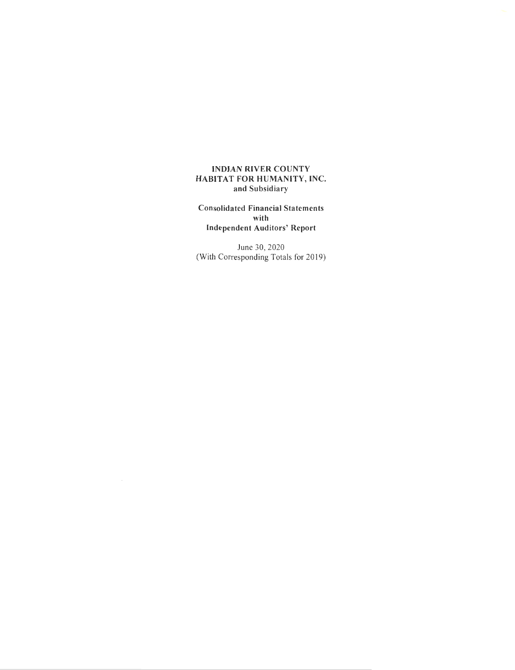#### **INDIAN RIVER COUNTY HABITAT FOR HUMANITY, INC. and Subsidiary**

**Consolidated Financial Statements with Independent Auditors' Report** 

June 30, 2020 (With Corresponding Totals for 2019)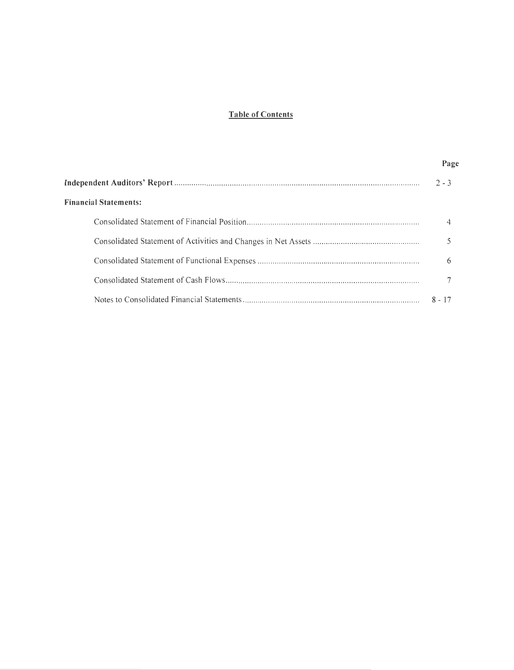# **Table of Contents**

**Page** 

|                              | $7 - 3$ |
|------------------------------|---------|
| <b>Financial Statements:</b> |         |
|                              |         |
|                              |         |
|                              | h       |
|                              |         |
|                              |         |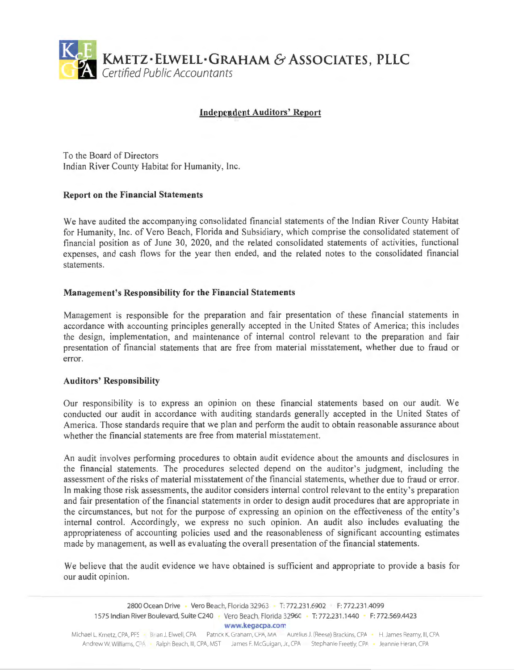

# **Independent Auditors' Report**

To the Board of Directors Indian River County Habitat for Humanity, Inc.

### **Report on the Financial Statements**

We have audited the accompanying consolidated financial statements of the Indian River County Habitat for Humanity, Inc. of Vero Beach, Florida and Subsidiary, which comprise the consolidated statement of financial position as of June 30, 2020, and the related consolidated statements of activities, functional expenses, and cash flows for the year then ended, and the related notes to the consolidated financial statements.

## **Management's Responsibility for the Financial Statements**

Management is responsible for the preparation and fair presentation of these financial statements in accordance with accounting principles generally accepted in the United States of America; this includes the design, implementation, and maintenance of internal control relevant to the preparation and fair presentation of financial statements that are free from material misstatement, whether due to fraud or error.

### **Auditors' Responsibility**

Our responsibility is to express an opinion on these financial statements based on our audit. We conducted our audit in accordance with auditing standards generally accepted in the United States of America. Those standards require that we plan and perform the audit to obtain reasonable assurance about whether the financial statements are free from material misstatement.

An audit involves performing procedures to obtain audit evidence about the amounts and disclosures in the financial statements. The procedures selected depend on the auditor's judgment, including the assessment of the risks of material misstatement of the financial statements, whether due to fraud or error. In making those risk assessments, the auditor considers internal control relevant to the entity's preparation and fair presentation of the financial statements in order to design audit procedures that are appropriate in the circumstances, but not for the purpose of expressing an opinion on the effectiveness of the entity's internal control. Accordingly, we express no such opinion. An audit also includes evaluating the appropriateness of accounting policies used and the reasonableness of significant accounting estimates made by management, as well as evaluating the overall presentation of the financial statements.

We believe that the audit evidence we have obtained is sufficient and appropriate to provide a basis for our audit opinion.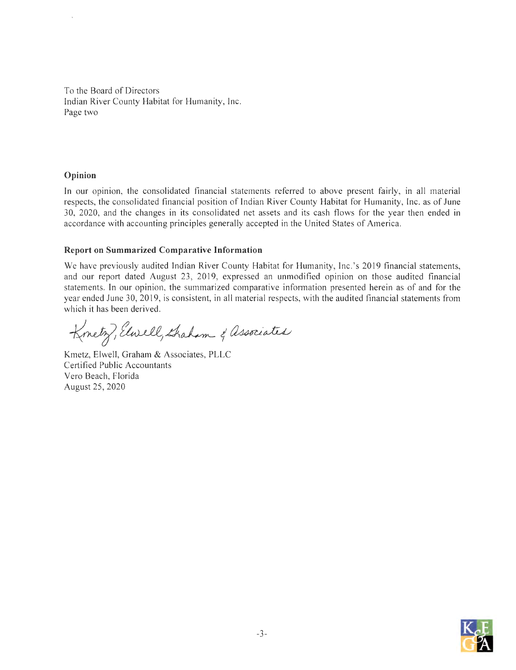To the Board of Directors Indian River County Habitat for Humanity, Inc. Page two

## **Opinion**

In our opinion, the consolidated financial statements referred to above present fairly, in all material respects, the consolidated financial position of Indian River County Habitat for Humanity, Inc. as of June 30, 2020, and the changes in its consolidated net assets and its cash flows for the year then ended in accordance with accounting principles generally accepted in the United States of America.

### **Report on Summarized Comparative Information**

We have previously audited Indian River County Habitat for Humanity, Inc.'s 2019 financial statements, and our report dated August 23 , 2019, expressed an unmodified opinion on those audited financial statements. In our opinion, the summarized comparative infonnation presented herein as of and for the year ended June 30, 2019, is consistent, in all material respects, with the audited financial statements from which it has been derived.

Knetz, Elwell, that am & associated

Kmetz, Elwell, Graham & Associates, PLLC Certified Public Accountants Vero Beach, Florida August 25 , 2020

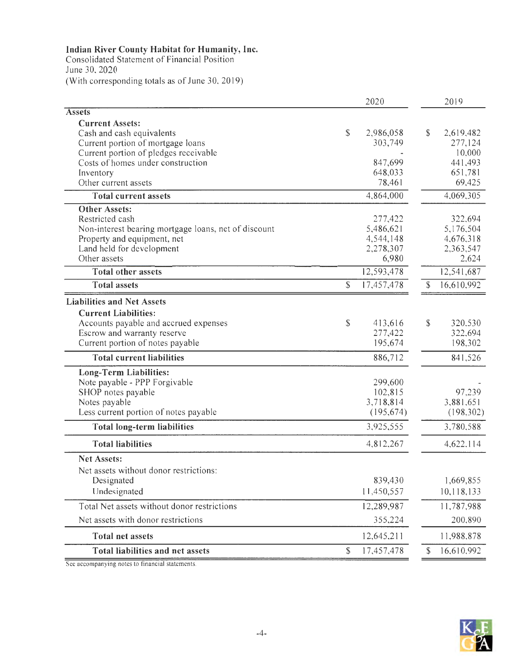Consolidated Statement of Financial Position June 30, 2020 (With corresponding totals as of June 30, 2019)

|                                                                                                                                                                                    | 2020                                                    |              | 2019                                                    |
|------------------------------------------------------------------------------------------------------------------------------------------------------------------------------------|---------------------------------------------------------|--------------|---------------------------------------------------------|
| <b>Assets</b>                                                                                                                                                                      |                                                         |              |                                                         |
| <b>Current Assets:</b><br>$\mathbb S$<br>Cash and cash equivalents<br>Current portion of mortgage loans                                                                            | 2,986,058<br>303,749                                    | $\mathbb{S}$ | 2,619,482<br>277,124                                    |
| Current portion of pledges receivable<br>Costs of homes under construction<br>Inventory<br>Other current assets                                                                    | 847,699<br>648,033<br>78,461                            |              | 10,000<br>441,493<br>651,781<br>69,425                  |
| <b>Total current assets</b>                                                                                                                                                        | 4,864,000                                               |              | 4,069,305                                               |
| <b>Other Assets:</b>                                                                                                                                                               |                                                         |              |                                                         |
| Restricted cash<br>Non-interest bearing mortgage loans, net of discount<br>Property and equipment, net<br>Land held for development<br>Other assets                                | 277,422<br>5,486,621<br>4,544,148<br>2,278,307<br>6,980 |              | 322,694<br>5,176,504<br>4,676,318<br>2,363,547<br>2,624 |
| <b>Total other assets</b>                                                                                                                                                          | 12,593,478                                              |              | 12,541,687                                              |
| <b>Total assets</b><br>$\mathbb{S}$                                                                                                                                                | 17,457,478                                              | $\sqrt{\ }$  | 16,610,992                                              |
| <b>Liabilities and Net Assets</b><br><b>Current Liabilities:</b><br>Accounts payable and accrued expenses<br>\$<br>Escrow and warranty reserve<br>Current portion of notes payable | 413,616<br>277,422<br>195,674                           | \$           | 320,530<br>322,694<br>198,302                           |
| <b>Total current liabilities</b>                                                                                                                                                   | 886,712                                                 |              | 841,526                                                 |
|                                                                                                                                                                                    |                                                         |              |                                                         |
| Long-Term Liabilities:<br>Note payable - PPP Forgivable<br>SHOP notes payable<br>Notes payable<br>Less current portion of notes payable                                            | 299,600<br>102,815<br>3,718,814<br>(195, 674)           |              | 97,239<br>3,881,651<br>(198, 302)                       |
| <b>Total long-term liabilities</b>                                                                                                                                                 | 3,925,555                                               |              | 3,780,588                                               |
| <b>Total liabilities</b>                                                                                                                                                           | 4,812,267                                               |              | 4,622,114                                               |
| <b>Net Assets:</b><br>Net assets without donor restrictions:                                                                                                                       |                                                         |              |                                                         |
| Designated<br>Undesignated                                                                                                                                                         | 839,430<br>11,450,557                                   |              | 1,669,855<br>10,118,133                                 |
| Total Net assets without donor restrictions                                                                                                                                        | 12,289,987                                              |              | 11,787,988                                              |
| Net assets with donor restrictions                                                                                                                                                 | 355,224                                                 |              | 200,890                                                 |
| <b>Total net assets</b>                                                                                                                                                            | 12,645,211                                              |              | 11,988,878                                              |
| \$<br>Total liabilities and net assets                                                                                                                                             | 17,457,478                                              | $\mathbb{S}$ | 16,610,992                                              |
|                                                                                                                                                                                    |                                                         |              |                                                         |

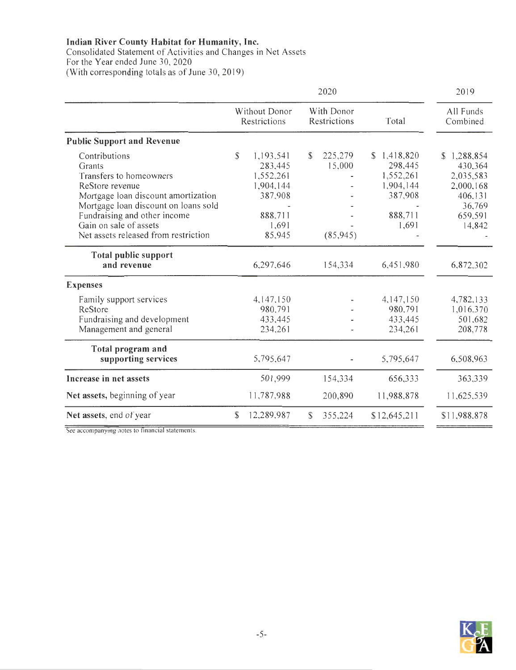Consolidated Statement of Activities and Changes in Net Assets For the Year ended June 30, 2020 (With corresponding totals as of June 30, 2019)

| 2020                                                                                                                                                                                                                                                   |              |                                                                                         | 2019 |                                |                                                                                 |                                                                                            |
|--------------------------------------------------------------------------------------------------------------------------------------------------------------------------------------------------------------------------------------------------------|--------------|-----------------------------------------------------------------------------------------|------|--------------------------------|---------------------------------------------------------------------------------|--------------------------------------------------------------------------------------------|
|                                                                                                                                                                                                                                                        |              | Without Donor<br>Restrictions                                                           |      | With Donor<br>Restrictions     | Total                                                                           | All Funds<br>Combined                                                                      |
| <b>Public Support and Revenue</b>                                                                                                                                                                                                                      |              |                                                                                         |      |                                |                                                                                 |                                                                                            |
| Contributions<br>Grants<br>Transfers to homeowners<br>ReStore revenue<br>Mortgage loan discount amortization<br>Mortgage loan discount on loans sold<br>Fundraising and other income<br>Gain on sale of assets<br>Net assets released from restriction | $\mathbb{S}$ | 1,193,541<br>283,445<br>1,552,261<br>1,904,144<br>387,908<br>888,711<br>1,691<br>85,945 | \$.  | 225,279<br>15,000<br>(85, 945) | \$1,418,820<br>298,445<br>1,552,261<br>1,904,144<br>387,908<br>888,711<br>1,691 | \$1,288,854<br>430,364<br>2,035,583<br>2,000,168<br>406,131<br>36,769<br>659,591<br>14,842 |
| <b>Total public support</b><br>and revenue                                                                                                                                                                                                             |              | 6,297,646                                                                               |      | 154,334                        | 6,451,980                                                                       | 6,872,302                                                                                  |
| <b>Expenses</b>                                                                                                                                                                                                                                        |              |                                                                                         |      |                                |                                                                                 |                                                                                            |
| Family support services<br>ReStore<br>Fundraising and development<br>Management and general                                                                                                                                                            |              | 4,147,150<br>980,791<br>433,445<br>234,261                                              |      |                                | 4, 147, 150<br>980,791<br>433,445<br>234,261                                    | 4,782,133<br>1,016,370<br>501,682<br>208,778                                               |
| Total program and<br>supporting services                                                                                                                                                                                                               |              | 5,795,647                                                                               |      |                                | 5,795,647                                                                       | 6,508,963                                                                                  |
| Increase in net assets                                                                                                                                                                                                                                 |              | 501,999                                                                                 |      | 154,334                        | 656,333                                                                         | 363,339                                                                                    |
| Net assets, beginning of year                                                                                                                                                                                                                          |              | 11,787,988                                                                              |      | 200,890                        | 11,988,878                                                                      | 11,625,539                                                                                 |
| Net assets, end of year                                                                                                                                                                                                                                | S            | 12,289,987                                                                              | S.   | 355,224                        | \$12,645,211                                                                    | \$11,988,878                                                                               |

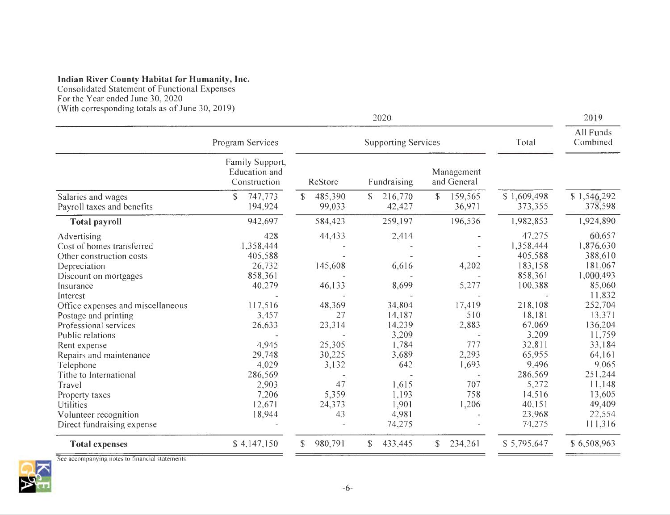Consolidated Statement of Functional Expenses For the Year ended June 30, 2020

(With corresponding totals as of June 30, 2019)

|                                                                                                                                                                                                                                                                                                                                                                             |                                                                                                                                                             |                                                                                                             | 2020                                                                                                               |                                                                                          |                                                                                                                                                                              | 2019                                                                                                                                                                                       |
|-----------------------------------------------------------------------------------------------------------------------------------------------------------------------------------------------------------------------------------------------------------------------------------------------------------------------------------------------------------------------------|-------------------------------------------------------------------------------------------------------------------------------------------------------------|-------------------------------------------------------------------------------------------------------------|--------------------------------------------------------------------------------------------------------------------|------------------------------------------------------------------------------------------|------------------------------------------------------------------------------------------------------------------------------------------------------------------------------|--------------------------------------------------------------------------------------------------------------------------------------------------------------------------------------------|
|                                                                                                                                                                                                                                                                                                                                                                             | Program Services                                                                                                                                            |                                                                                                             | <b>Supporting Services</b>                                                                                         |                                                                                          | Total                                                                                                                                                                        | All Funds<br>Combined                                                                                                                                                                      |
|                                                                                                                                                                                                                                                                                                                                                                             | Family Support,<br><b>Education</b> and<br>Construction                                                                                                     | ReStore                                                                                                     | Fundraising                                                                                                        | Management<br>and General                                                                |                                                                                                                                                                              |                                                                                                                                                                                            |
| Salaries and wages<br>Payroll taxes and benefits                                                                                                                                                                                                                                                                                                                            | 747,773<br>$\mathbb{S}$<br>194,924                                                                                                                          | 485,390<br>$\mathcal{S}$<br>99,033                                                                          | \$.<br>216,770<br>42,427                                                                                           | $\mathcal{S}$<br>159,565<br>36,971                                                       | \$1,609,498<br>373,355                                                                                                                                                       | \$1,546,292<br>378,598                                                                                                                                                                     |
| <b>Total payroll</b>                                                                                                                                                                                                                                                                                                                                                        | 942,697                                                                                                                                                     | 584,423                                                                                                     | 259,197                                                                                                            | 196,536                                                                                  | 1,982,853                                                                                                                                                                    | 1,924,890                                                                                                                                                                                  |
| Advertising<br>Cost of homes transferred<br>Other construction costs<br>Depreciation<br>Discount on mortgages<br>Insurance<br>Interest<br>Office expenses and miscellaneous<br>Postage and printing<br>Professional services<br>Public relations<br>Rent expense<br>Repairs and maintenance<br>Telephone<br>Tithe to International<br>Travel<br>Property taxes<br>Utilities | 428<br>1,358,444<br>405,588<br>26,732<br>858,361<br>40,279<br>117,516<br>3,457<br>26,633<br>4,945<br>29,748<br>4,029<br>286,569<br>2,903<br>7,206<br>12,671 | 44,433<br>145,608<br>46,133<br>48,369<br>27<br>23,314<br>25,305<br>30,225<br>3,132<br>47<br>5,359<br>24,373 | 2,414<br>6,616<br>8,699<br>34,804<br>14,187<br>14,239<br>3,209<br>1,784<br>3,689<br>642<br>1,615<br>1,193<br>1,901 | 4,202<br>5,277<br>17,419<br>510<br>2,883<br>777<br>2,293<br>1,693<br>707<br>758<br>1,206 | 47,275<br>1,358,444<br>405,588<br>183,158<br>858,361<br>100,388<br>218,108<br>18,181<br>67,069<br>3,209<br>32,811<br>65,955<br>9,496<br>286,569<br>5,272<br>14,516<br>40,151 | 60,657<br>1,876,630<br>388,610<br>181,067<br>1,000.493<br>85,060<br>11,832<br>252,704<br>13,371<br>136,204<br>11,759<br>33,184<br>64,161<br>9,065<br>251,244<br>11,148<br>13,605<br>49,409 |
| Volunteer recognition<br>Direct fundraising expense                                                                                                                                                                                                                                                                                                                         | 18,944                                                                                                                                                      | 43                                                                                                          | 4,981<br>74,275                                                                                                    |                                                                                          | 23,968<br>74,275                                                                                                                                                             | 22,554<br>111,316                                                                                                                                                                          |
| <b>Total expenses</b>                                                                                                                                                                                                                                                                                                                                                       | \$4,147,150                                                                                                                                                 | $\mathbb{S}$<br>980,791                                                                                     | 433,445<br>S.                                                                                                      | $\mathbb{S}$<br>234,261                                                                  | \$5,795,647                                                                                                                                                                  | \$6,508,963                                                                                                                                                                                |

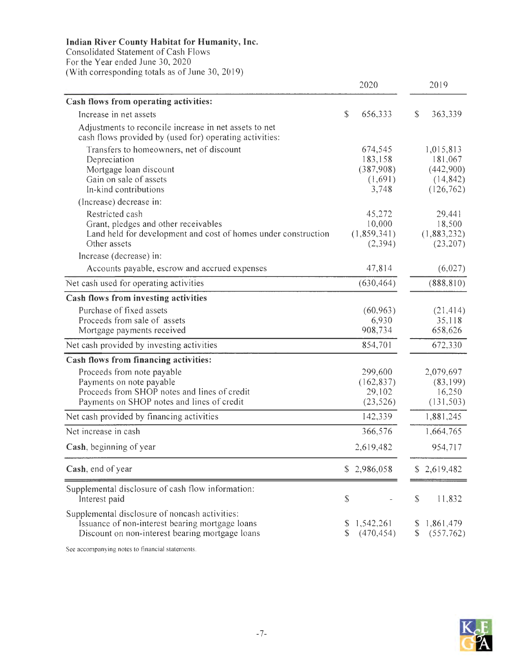Conso lidated Statement of Cash Flows For the Year ended June 30, 2020 (With corresponding totals as of June 30, 2019)

|                                                                                                                                                                                               |               | 2020                                                |               | 2019                                                         |
|-----------------------------------------------------------------------------------------------------------------------------------------------------------------------------------------------|---------------|-----------------------------------------------------|---------------|--------------------------------------------------------------|
| Cash flows from operating activities:                                                                                                                                                         |               |                                                     |               |                                                              |
| Increase in net assets                                                                                                                                                                        | $\mathcal{S}$ | 656,333                                             | $\mathcal{S}$ | 363,339                                                      |
| Adjustments to reconcile increase in net assets to net<br>cash flows provided by (used for) operating activities:                                                                             |               |                                                     |               |                                                              |
| Transfers to homeowners, net of discount<br>Depreciation<br>Mortgage loan discount<br>Gain on sale of assets<br>In-kind contributions                                                         |               | 674,545<br>183,158<br>(387,908)<br>(1,691)<br>3,748 |               | 1,015,813<br>181,067<br>(442,900)<br>(14, 842)<br>(126, 762) |
| (Increase) decrease in:                                                                                                                                                                       |               |                                                     |               |                                                              |
| Restricted cash<br>Grant, pledges and other receivables<br>Land held for development and cost of homes under construction<br>Other assets                                                     |               | 45,272<br>10,000<br>(1,859,341)<br>(2,394)          |               | 29,441<br>18,500<br>(1,883,232)<br>(23,207)                  |
| Increase (decrease) in:<br>Accounts payable, escrow and accrued expenses                                                                                                                      |               | 47,814                                              |               | (6,027)                                                      |
| Net cash used for operating activities                                                                                                                                                        |               | (630, 464)                                          |               | (888, 810)                                                   |
|                                                                                                                                                                                               |               |                                                     |               |                                                              |
| Cash flows from investing activities<br>Purchase of fixed assets<br>Proceeds from sale of assets<br>Mortgage payments received                                                                |               | (60, 963)<br>6,930<br>908,734                       |               | (21, 414)<br>35,118<br>658,626                               |
| Net cash provided by investing activities                                                                                                                                                     |               | 854,701                                             |               | 672,330                                                      |
| Cash flows from financing activities:<br>Proceeds from note payable<br>Payments on note payable<br>Proceeds from SHOP notes and lines of credit<br>Payments on SHOP notes and lines of credit |               | 299,600<br>(162, 837)<br>29,102<br>(23, 526)        |               | 2,079,697<br>(83,199)<br>16,250<br>(131, 503)                |
| Net cash provided by financing activities                                                                                                                                                     |               | 142,339                                             |               | 1,881,245                                                    |
| Net increase in cash                                                                                                                                                                          |               | 366,576                                             |               | 1,664,765                                                    |
| Cash, beginning of year                                                                                                                                                                       |               | 2,619,482                                           |               | 954,717                                                      |
| Cash, end of year                                                                                                                                                                             |               | \$2,986,058                                         |               | \$2,619,482                                                  |
| Supplemental disclosure of cash flow information:<br>Interest paid                                                                                                                            | \$            |                                                     | $\mathcal{S}$ | 11,832                                                       |
| Supplemental disclosure of noncash activities:<br>Issuance of non-interest bearing mortgage loans<br>Discount on non-interest bearing mortgage loans                                          | \$<br>\$      | 1,542,261<br>(470, 454)                             | \$<br>\$      | 1,861,479<br>(557,762)                                       |

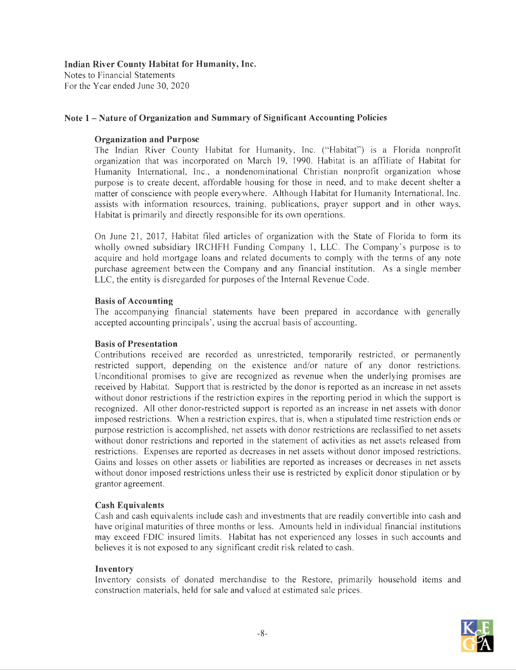Notes to Financial Statements For the Year ended June 30, 2020

## **Note 1 - Nature of Organization and Summary of Significant Accounting Policies**

## **Organization and Purpose**

The Indian River County Habitat for Humanity, Inc. ("Habitat") is a Florida nonprofit organization that was incorporated on March 19, 1990. Habitat is an affiliate of Habitat for Humanity International, Inc., a nondenominational Christian nonprofit organization whose purpose is to create decent, affordable housing for those in need, and to make decent shelter a matter of conscience with people everywhere. Although Habitat for Humanity International, Inc. assists with infonnation resources, training, publications, prayer support and in other ways, Habitat is primarily and directly responsible for its own operations.

On June 21, 2017, Habitat filed articles of organization with the State of Florida to form its wholly owned subsidiary IRCHFH Funding Company 1, LLC. The Company's purpose is to acquire and hold mortgage loans and related documents to comply with the terms of any note purchase agreement between the Company and any financial institution. As a single member LLC, the entity is disregarded for purposes of the Internal Revenue Code .

### **Basis of Accounting**

The accompanying financial statements have been prepared in accordance with generally accepted accounting principals', using the accrual basis of accounting.

### **Basis of Presentation**

Contributions received are recorded as unrestricted, temporarily restricted, or permanently restricted support, depending on the existence and/or nature of any donor restrictions. Unconditional promises to give are recognized as revenue when the underlying promises are received by Habitat. Support that is restricted by the donor is reported as an increase in net assets without donor restrictions if the restriction expires in the reporting period in which the support is recognized. All other donor-restricted support is reported as an increase in net assets with donor imposed restrictions. When a restriction expires, that is, when a stipulated time restriction ends or purpose restriction is accomplished, net assets with donor restrictions are reclassified to net assets without donor restrictions and reported in the statement of activities as net assets released from restrictions. Expenses are reported as decreases in net assets without donor imposed restrictions. Gains and losses on other assets or liabilities are reported as increases or decreases in net assets without donor imposed restrictions unless their use is restricted by explicit donor stipulation or by grantor agreement.

### **Cash Equivalents**

Cash and cash equivalents include cash and investments that are readily convertible into cash and have original maturities of three months or less. Amounts held in individual financial institutions may exceed FDIC insured limits. Habitat has not experienced any losses in such accounts and believes it is not exposed to any significant credit risk related to cash.

### **Inventory**

Inventory consists of donated merchandise to the Restore, primarily household items and construction materials, held for sale and valued at estimated sale prices.

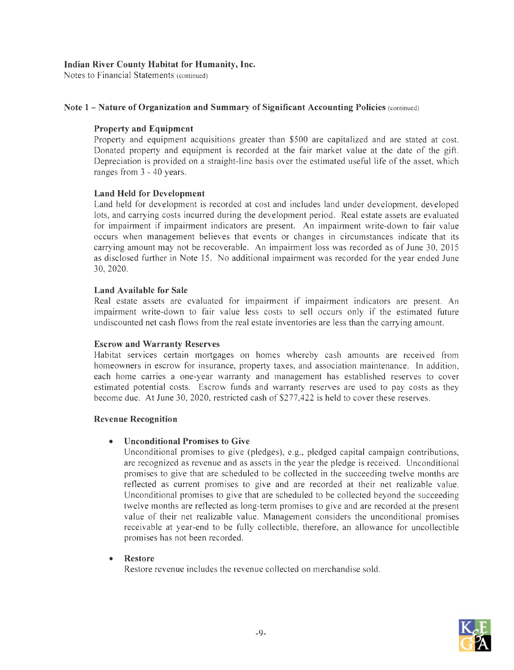Notes to Financial Statements (continued)

### **Note 1 - Nature of Organization and Summary of Significant Accounting Policies** (continued)

### **Property and Equipment**

Property and equipment acquisitions greater than \$500 are capitalized and are stated at cost. Donated property and equipment is recorded at the fair market value at the date of the gift. Depreciation is provided on a straight-line basis over the estimated useful life of the asset, which ranges from 3 - 40 years.

### **Land Held for Development**

Land held for development is recorded at cost and includes land under development, developed lots, and carrying costs incurred during the development period. Real estate assets are evaluated for impairment if impairment indicators are present. An impairment write-down to fair value occurs when management be lieves that events or changes in circumstances indicate that its carrying amount may not be recoverable. An impairment loss was recorded as of June 30, 2015 as disclosed further in Note 15. No additional impairment was recorded for the year ended June 30, 2020.

### **Land Available for Sale**

Real estate assets are evaluated for impairment if impairment indicators are present. An impairment write-down to fair value less costs to sell occurs only if the estimated future undiscounted net cash flows from the real estate inventories are less than the carrying amount.

### **Escrow and Warranty Reserves**

Habitat services certain mortgages on homes whereby cash amounts are received from homeowners in escrow for insurance, property taxes, and association maintenance. In addition, each home carries a one-year warranty and management has established reserves to cover estimated potential costs. Escrow funds and warranty reserves are used to pay costs as they become due. At June 30, 2020, restricted cash of \$277,422 is held to cover these reserves.

### **Revenue Recognition**

### • **Unconditional Promises to Give**

Unconditional promises to give (pledges), e.g., pledged capital campaign contributions, are recognized as revenue and as assets in the year the pledge is received. Unconditional promises to give that are scheduled to be collected in the succeeding twelve months are reflected as current promises to give and are recorded at their net realizable value. Unconditional promises to give that are scheduled to be collected beyond the succeeding twelve months are reflected as long-term promises to give and are recorded at the present value of their net realizable value. Management considers the unconditional promises receivable at year-end to be fully collectible, therefore, an allowance for uncollectible promises has not been recorded.

### • **Restore**

Restore revenue includes the revenue collected on merchandise sold.

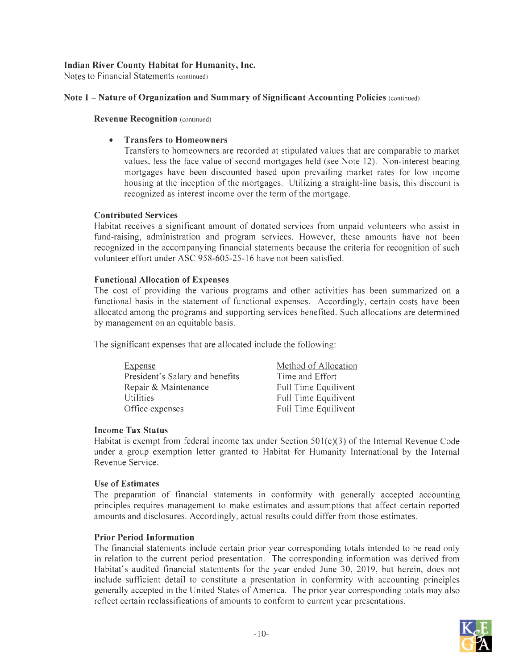Notes to Financial Statements (continued)

## **Note 1** - **Nature of Organization and Summary of Significant Accounting Policies** (continued)

**Revenue Recognition** (continued)

## • **Transfers to Homeowners**

Transfers to homeowners are recorded at stipulated values that are comparable to market values, less the face value of second mortgages held (see Note 12). Non-interest bearing mortgages have been discounted based upon prevailing market rates for low income housing at the inception of the mortgages. Utilizing a straight-line basis, this discount is recognized as interest income over the term of the mortgage.

## **Contributed Services**

Habitat receives a significant amount of donated services from unpaid volunteers who assist in fund-raising, administration and program services. However, these amounts have not been recognized in the accompanying financial statements because the criteria for recognition of such volunteer effort under ASC 958-605-25-16 have not been satisfied.

## **Functional Allocation of Expenses**

The cost of providing the various programs and other activities has been summarized on a functional basis in the statement of functional expenses. Accordingly, certain costs have been allocated among the programs and supporting services benefited. Such allocations are determined by management on an equitable basis.

The significant expenses that are allocated include the following:

| Expense                         | Method of Allocation        |
|---------------------------------|-----------------------------|
| President's Salary and benefits | Time and Effort             |
| Repair & Maintenance            | <b>Full Time Equilivent</b> |
| Utilities                       | <b>Full Time Equilivent</b> |
| Office expenses                 | <b>Full Time Equilivent</b> |

### **Income Tax Status**

Habitat is exempt from federal income tax under Section  $501(c)(3)$  of the Internal Revenue Code under a group exemption letter granted to Habitat for Humanity International by the Internal Revenue Service.

### **Use of Estimates**

The preparation of financial statements in conformity with generally accepted accounting principles requires management to make estimates and assumptions that affect certain reported amounts and disclosures. Accordingly, actual results could differ from those estimates.

## **Prior Period Information**

The financial statements include certain prior year corresponding totals intended to be read only in relation to the current period presentation. The corresponding information was derived from Habitat's audited financial statements for the year ended June 30, 2019, but herein, does not include sufficient detail to constitute a presentation in conformity with accounting principles generally accepted in the United States of America. The prior year corresponding totals may also reflect certain reclassifications of amounts to conform to current year presentations.

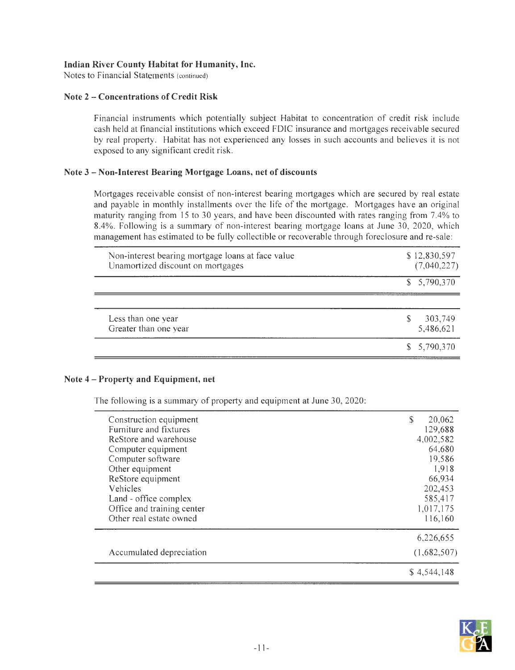Notes to Financial Statements (continued)

## **Note 2** - **Concentrations of Credit Risk**

Financial instruments which potentially subject Habitat to concentration of credit risk include cash held at financial institutions which exceed FDIC insurance and mortgages receivable secured by real property. Habitat has not experienced any losses in such accounts and believes it is not exposed to any significant credit risk.

### **Note 3** - **Non-Interest Bearing Mortgage Loans, net of discounts**

Mortgages receivable consist of non-interest bearing mortgages which are secured by real estate and payable in monthly installments over the life of the mortgage. Mortgages have an original maturity ranging from 15 to 30 years, and have been discounted with rates ranging from 7.4% to 8.4%. Following is a summary of non-interest bearing mortgage loans at June 30, 2020, which management has estimated to be fully collectible or recoverable through foreclosure and re-sale:

| Non-interest bearing mortgage loans at face value<br>Unamortized discount on mortgages | \$12,830,597<br>(7,040,227) |
|----------------------------------------------------------------------------------------|-----------------------------|
|                                                                                        | 5,790,370                   |
|                                                                                        |                             |
| Less than one year<br>Greater than one year                                            | 303,749<br>5,486,621        |
|                                                                                        | 5,790,370                   |

### **Note 4** - **Property and Equipment, net**

The following is a summary of property and equipment at June 30, 2020:

| Construction equipment     | S<br>20,062 |
|----------------------------|-------------|
| Furniture and fixtures     | 129,688     |
| ReStore and warehouse      | 4,002,582   |
| Computer equipment         | 64,680      |
| Computer software          | 19,586      |
| Other equipment            | 1,918       |
| ReStore equipment          | 66,934      |
| Vehicles                   | 202,453     |
| Land - office complex      | 585,417     |
| Office and training center | 1,017,175   |
| Other real estate owned    | 116,160     |
|                            | 6,226,655   |
| Accumulated depreciation   | (1,682,507) |
|                            | \$4,544,148 |

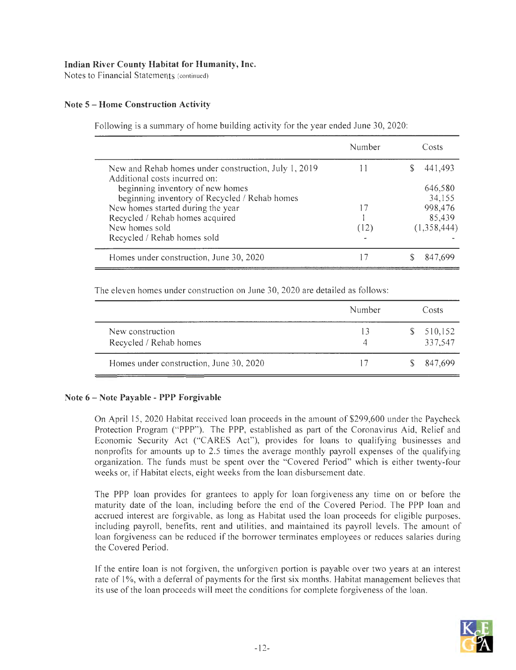Notes to Financial Statements (continued)

### **Note 5 - Home Construction Activity**

Following is a summary of home building activity for the year ended June 30, 2020:

|                                                                                       | Number | Costs       |
|---------------------------------------------------------------------------------------|--------|-------------|
| New and Rehab homes under construction, July 1, 2019<br>Additional costs incurred on: |        | 441,493     |
| beginning inventory of new homes                                                      |        | 646,580     |
| beginning inventory of Recycled / Rehab homes                                         |        | 34,155      |
| New homes started during the year                                                     | 17     | 998,476     |
| Recycled / Rehab homes acquired                                                       |        | 85,439      |
| New homes sold                                                                        | (12)   | (1,358,444) |
| Recycled / Rehab homes sold                                                           |        |             |
| Homes under construction, June 30, 2020                                               |        | 847.699     |

The eleven homes under construction on June 30, 2020 are detailed as follows:

|                                            | Number | Costs              |
|--------------------------------------------|--------|--------------------|
| New construction<br>Recycled / Rehab homes | 13     | 510,152<br>337,547 |
| Homes under construction, June 30, 2020    |        | 847.699            |

### **Note 6 - Note Payable - PPP Forgivable**

On April 15, 2020 Habitat received loan proceeds in the amount of \$299,600 under the Paycheck Protection Program ("PPP"). The PPP, established as part of the Coronavirus Aid, Relief and Economic Security Act ("CARES Act"), provides for loans to qualifying businesses and nonprofits for amounts up to 2.5 times the average monthly payroll expenses of the qualifying organization. The funds must be spent over the "Covered Period" which is either twenty-four weeks or, if Habitat elects, eight weeks from the loan disbursement date.

The PPP loan provides for grantees to apply for loan forgiveness any time on or before the maturity date of the loan, including before the end of the Covered Period. The PPP loan and accrued interest are forgivable, as long as Habitat used the loan proceeds for eligible purposes, including payroll, benefits, rent and utilities, and maintained its payroll levels. The amount of loan forgiveness can be reduced if the borrower terminates employees or reduces salaries during the Covered Period.

If the entire loan is not forgiven, the unforgiven portion is payable over two years at an interest rate of 1%, with a deferral of payments for the first six months. Habitat management believes that its use of the loan proceeds will meet the conditions for complete forgiveness of the loan.

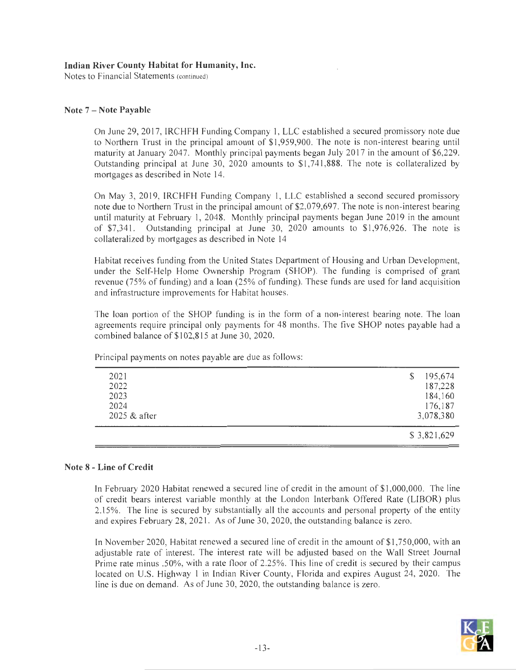Notes to Financial Statements (continued)

## **Note** 7 - **Note Payable**

On June 29, 2017, IRCHFH Funding Company 1, LLC established a secured promissory note due to Northern Trust in the principal amount of \$1,959,900. The note is non-interest bearing until maturity at January 2047. Monthly principal payments began July 2017 in the amount of \$6,229. Outstanding principal at June 30, 2020 amounts to \$1,741,888. The note is collateralized by mortgages as described in Note 14.

On May 3, 2019, IRCHFH Funding Company 1, LLC established a second secured promissory note due to Northern Trust in the principal amount of \$2,079,697. The note is non-interest bearing until maturity at February 1, 2048. Monthly principal payments began June 2019 in the amount of \$7,341. Outstanding principal at June 30, 2020 amounts to \$1,976,926. The note is collateralized by mortgages as described in Note 14

Habitat receives funding from the United States Department of Housing and Urban Development. under the Self-Help Home Ownership Program (SHOP). The funding is comprised of grant revenue (75% of funding) and a loan (25% of funding). These funds are used for land acquisition and infrastructure improvements for Habitat houses.

The loan portion of the SHOP funding is in the form of a non-interest bearing note. The loan agreements require principal only payments for 48 months. The five SHOP notes payable had a combined balance of \$102,815 at June 30, 2020.

|  | Principal payments on notes payable are due as follows: |  |
|--|---------------------------------------------------------|--|
|--|---------------------------------------------------------|--|

| 2021         | 195,674     |
|--------------|-------------|
| 2022         | 187,228     |
| 2023         | 184,160     |
| 2024         | 176,187     |
| 2025 & after | 3,078,380   |
|              | \$3,821,629 |

### **Note 8** - **Line of Credit**

In February 2020 Habitat renewed a secured line of credit in the amount of \$1 ,000,000. The line of credit bears interest variable monthly at the London Interbank Offered Rate (LIBOR) plus 2. 15%. The line is secured by substantially all the accounts and personal property of the entity and expires February 28, 2021. As of June 30, 2020, the outstanding balance is zero.

In November 2020, Habitat renewed a secured line of credit in the amount of \$1,750,000, with an adjustable rate of interest. The interest rate will be adjusted based on the Wall Street Journal Prime rate minus .50%, with a rate floor of 2.25%. This line of credit is secured by their campus located on U.S. Highway I in Indian River County, Florida and expires August 24, 2020. The line is due on demand. As of June 30, 2020, the outstanding balance is zero.

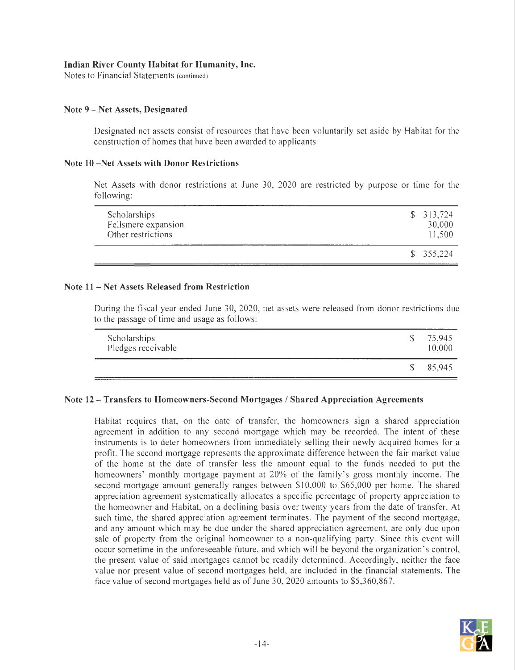Notes to Financial Statements (continued)

### **Note 9** - **Net Assets, Designated**

Designated net assets consist of resources that have been voluntarily set aside by Habitat for the construction of homes that have been awarded to applicants

### **Note 10 -Net Assets with Donor Restrictions**

Net Assets with donor restrictions at June 30, 2020 are restricted by purpose or time for the following:

| Scholarships<br>Fellsmere expansion<br>Other restrictions | \$313,724<br>30,000<br>11.500 |
|-----------------------------------------------------------|-------------------------------|
|                                                           | \$355.224                     |

#### **Note 11** - **Net Assets Released from Restriction**

During the fiscal year ended June 30, 2020, net assets were released from donor restrictions due to the passage of time and usage as follows:

| Scholarships<br>Pledges receivable | 75,945<br>10,000 |
|------------------------------------|------------------|
|                                    | 85.945           |

## **Note 12** - **Transfers to Homeowners-Second Mortgages / Shared Appreciation Agreements**

Habitat requires that, on the date of transfer, the homeowners sign a shared appreciation agreement in addition to any second mortgage which may be recorded. The intent of these instruments is to deter homeowners from immediately selling their newly acquired homes for a profit. The second mortgage represents the approximate difference between the fair market value of the home at the date of transfer less the amount equal to the funds needed to put the homeowners' monthly mortgage payment at 20% of the family's gross monthly income. The second mortgage amount generally ranges between  $$10,000$  to  $$65,000$  per home. The shared appreciation agreement systematically allocates a specific percentage of property appreciation to the homeowner and Habitat, on a declining basis over twenty years from the date of transfer. At such time, the shared appreciation agreement terminates. The payment of the second mortgage, and any amount which may be due under the shared appreciation agreement, are only due upon sale of property from the original homeowner to a non-qualifying party. Since this event will occur sometime in the unforeseeable future, and which will be beyond the organization's control, the present value of said mortgages cannot be readily determined. Accordingly, neither the face value nor present value of second mortgages held, are included in the financial statements. The face value of second mortgages held as of June 30, 2020 amounts to  $$5,360,867$ .

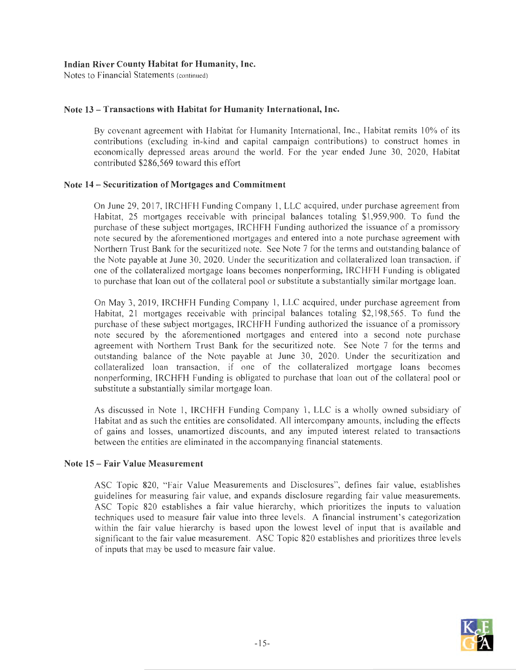Notes to Financial Statements (continued)

## **Note 13 - Transactions with Habitat for Humanity International, Inc.**

By covenant agreement with Habitat for Humanity International, Inc., Habitat remits 10% of its contributions (excluding in-kind and capital campaign contributions) to construct homes in economically depressed areas around the world . For the year ended June 30, 2020, Habitat contributed \$286,569 toward this effort

### **Note 14 - Securitization of Mortgages and Commitment**

On June 29, 2017, IRCHFH Funding Company 1, LLC acquired, under purchase agreement from Habitat, 25 mortgages receivable with principal balances totaling \$1,959,900. To fund the purchase of these subject mortgages, IRCHFH Funding authorized the issuance of a promissory note secured by the aforementioned mortgages and entered into a note purchase agreement with Northern Trust Bank for the securitized note. See Note 7 for the terms and outstanding balance of the Note payable at June 30, 2020. Under the securitization and collateralized loan transaction, if one of the collateralized mortgage loans becomes nonperforming, IRCHFH Funding is obligated to purchase that loan out of the collateral pool or substitute a substantially similar mortgage loan.

On May 3, 2019, IRCHFH Funding Company 1, LLC acquired, under purchase agreement from Habitat, 21 mortgages receivable with principal balances totaling \$2,198,565. To fund the purchase of these subject mortgages, IRCHFH Funding authorized the issuance of a promissory note secured by the aforementioned mortgages and entered into a second note purchase agreement with Northern Trust Bank for the securitized note. See Note 7 for the tenns and outstanding balance of the Note payable at June 30, 2020. Under the securitization and collateralized loan transaction, if one of the collateralized mortgage loans becomes nonperforming, IRCHFH Funding is obligated to purchase that loan out of the collateral pool or substitute a substantially similar mortgage loan.

As discussed in Note 1, IRCHFH Funding Company 1, LLC is a wholly owned subsidiary of Habitat and as such the entities are consolidated. All intercompany amounts, including the effects of gains and losses, unamortized discounts, and any imputed interest related to transactions between the entities are eliminated in the accompanying financial statements.

### **Note 15 - Fair Value Measurement**

ASC Topic 820, "Fair Value Measurements and Disclosures", defines fair value, establishes guidelines for measuring fair value, and expands disclosure regarding fair value measurements. ASC Topic 820 establishes a fair value hierarchy, which prioritizes the inputs to valuation techniques used to measure fair value into three levels. A financial instrument's categorization within the fair value hierarchy is based upon the lowest level of input that is available and significant to the fair value measurement. ASC Topic 820 establishes and prioritizes three levels of inputs that may be used to measure fair value.

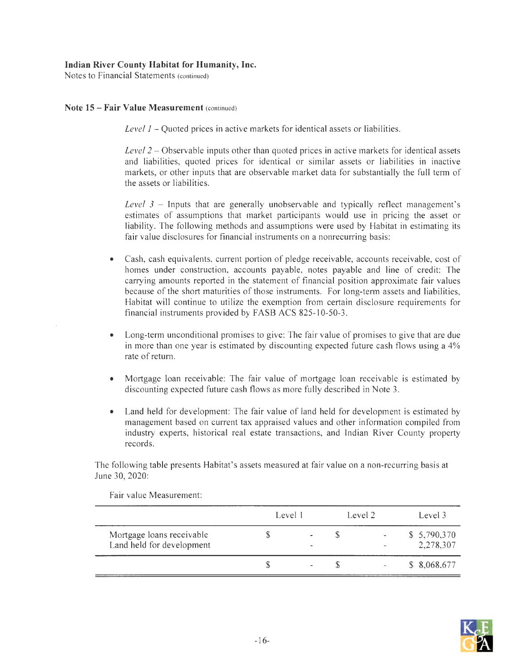Notes to Financial Statements (continued)

### **Note 15 - Fair Value Measurement** (continued)

*Level 1* – Quoted prices in active markets for identical assets or liabilities.

*Level 2 – Observable inputs other than quoted prices in active markets for identical assets* and liabilities, quoted prices for identical or similar assets or liabilities in inactive markets, or other inputs that are observable market data for substantially the full term of the assets or liabilities.

*Level 3 –* Inputs that are generally unobservable and typically reflect management's estimates of assumptions that market participants would use in pricing the asset or liability. The following methods and assumptions were used by Habitat in estimating its fair value disclosures for financial instruments on a nonrecurring basis:

- Cash, cash equivalents, current portion of pledge receivable, accounts receivable, cost of homes under construction, accounts payable, notes payable and line of credit: The carrying amounts reported in the statement of financial position approximate fair values because of the short maturities of those instruments. For long-term assets and liabilities, Habitat will continue to utilize the exemption from certain disclosure requirements for financial instruments provided by FASB ACS 825-10-50-3.
- Long-term unconditional promises to give: The fair value of promises to give that are due in more than one year is estimated by discounting expected future cash flows using a  $4\%$ rate of return.
- Mortgage loan receivable: The fair value of mortgage loan receivable is estimated by discounting expected future cash flows as more fully described in Note 3.
- Land held for development: The fair value of land held for development is estimated by management based on current tax appraised values and other information compiled from industry experts, historical real estate transactions, and Indian River County property records.

The following table presents Habitat's assets measured at fair value on a non-recurring basis at June 30, 2020:

|                                                        | Level 1 |                               | Level 2 |                                                      | Level 3                  |  |
|--------------------------------------------------------|---------|-------------------------------|---------|------------------------------------------------------|--------------------------|--|
| Mortgage loans receivable<br>Land held for development |         | ۰<br>$\overline{\phantom{a}}$ |         | $\overline{\phantom{a}}$<br>$\overline{\phantom{0}}$ | \$5,790,370<br>2,278,307 |  |
|                                                        |         | $\overline{\phantom{a}}$      |         | -                                                    | \$8,068,677              |  |

Fair value Measurement: